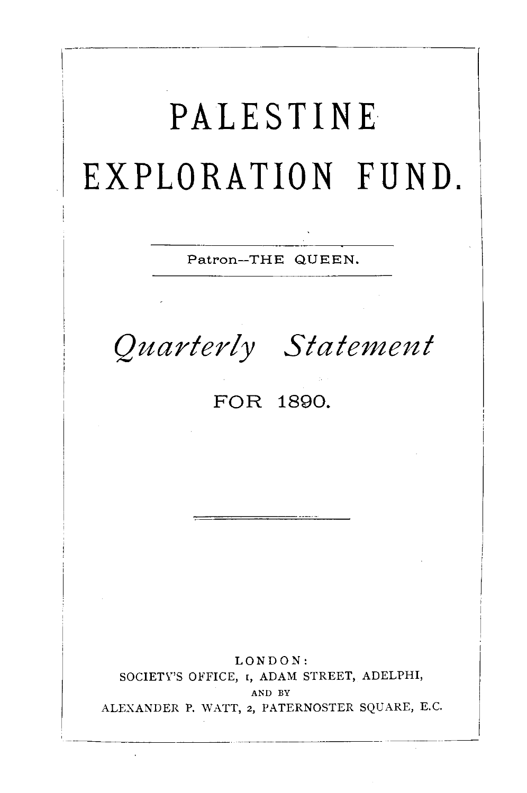**PALESTINE· EXPLORATION FUND.**  Patron-THE QUEEN. *Quarterly Statement*  **FOR 1890.**  LONDON: SOCIETY'S OFFICE, 1, ADAM STREET, ADELPHI, AND BY ALEXANDER P. WATT, 2, PATERNOSTER SQUARE, E.C.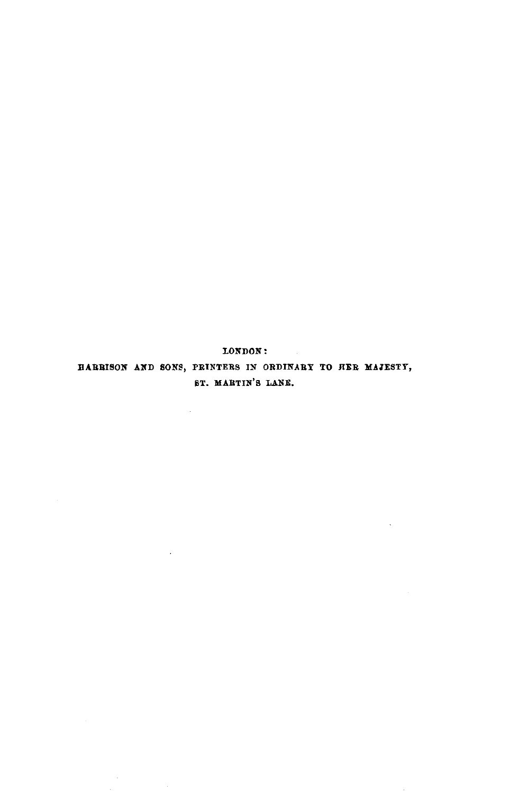LONDON:

HARRISON AND SONS, PRINTERS IN ORDINARY TO HER MAJESTY, BT. MARTIN'S LANE.

 $\bar{\mathbf{v}}$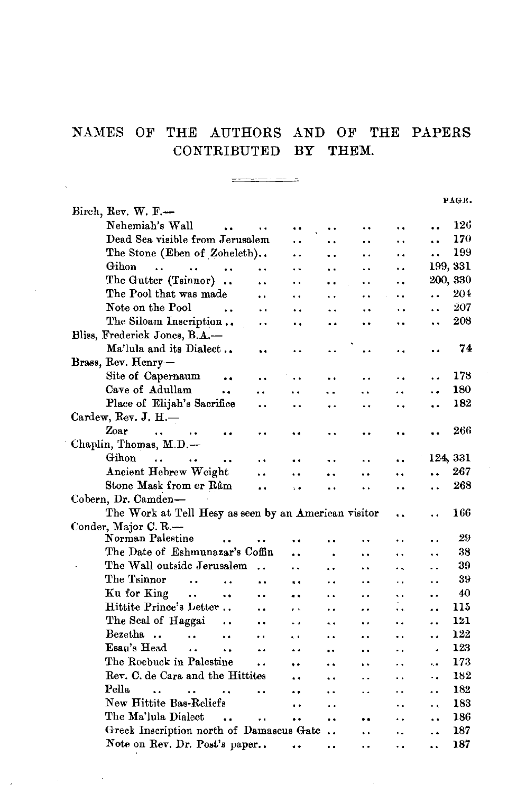## NAMES OF THE AUTHORS AND OF THE PAPERS CONTRIBUTED BY THEM.

 $\frac{1}{1} \frac{1}{1} \frac{1}{1} \frac{1}{1} \frac{1}{1} \frac{1}{1} \frac{1}{1} \frac{1}{1} \frac{1}{1} \frac{1}{1} \frac{1}{1} \frac{1}{1} \frac{1}{1} \frac{1}{1} \frac{1}{1} \frac{1}{1} \frac{1}{1} \frac{1}{1} \frac{1}{1} \frac{1}{1} \frac{1}{1} \frac{1}{1} \frac{1}{1} \frac{1}{1} \frac{1}{1} \frac{1}{1} \frac{1}{1} \frac{1}{1} \frac{1}{1} \frac{1}{1} \frac{1}{1} \frac{$ 

 $\Delta \sim 1$ 

|                                                                                                             |                      |                      |                      |                      | PAGE. |
|-------------------------------------------------------------------------------------------------------------|----------------------|----------------------|----------------------|----------------------|-------|
| Birch, Rev. W. F.-                                                                                          |                      |                      |                      |                      |       |
| Nehemiah's Wall<br>$\ddot{\phantom{a}}$<br>                                                                 |                      |                      | ٠.                   |                      | 126   |
| Dead Sea visible from Jerusalem<br>. .                                                                      | $\ddot{\phantom{0}}$ | $\ddot{\phantom{0}}$ | . .                  | $\ddot{\phantom{0}}$ | 170   |
| The Stone (Eben of Zoheleth)<br>. .                                                                         | ٠.                   | . .                  | . .                  | $\ddot{\phantom{0}}$ | 199   |
| Gihon<br>$\ddot{\phantom{a}}$<br>$\ddot{\phantom{a}}$<br>$\ddot{\phantom{a}}$<br>. .<br>. .                 | $\ddot{\phantom{1}}$ | . .                  | ٠.                   | 199, 331             |       |
| The Gutter (Tsinnor).<br>$\ddot{\phantom{0}}$<br>. .                                                        | $\ddot{\phantom{0}}$ | $\ddot{\phantom{a}}$ | $\ddot{\phantom{0}}$ | 200, 330             |       |
| The Pool that was made<br>$\ddot{\phantom{0}}$<br>. .                                                       | $\ddot{\phantom{0}}$ | . .                  |                      | $\ddot{\phantom{0}}$ | 204   |
| Note on the Pool<br>$\ddot{\phantom{0}}$<br>٠.                                                              | . .                  |                      | ٠.                   | $\ddot{\phantom{0}}$ | 207   |
| The Siloam Inscription<br><br>. .                                                                           | . .                  | $\ddot{\phantom{0}}$ | ٠.                   | $\ddot{\phantom{a}}$ | 208   |
| Bliss, Frederick Jones, B.A.-                                                                               |                      |                      |                      |                      |       |
| Ma'lula and its Dialect<br>٠.                                                                               |                      | . .                  |                      |                      | 74    |
| Brass, Rev. Henry-                                                                                          |                      |                      |                      |                      |       |
| Site of Capernaum<br>$\ddot{\phantom{0}}$                                                                   |                      | . .                  |                      |                      | 178   |
| Cave of Adullam<br>٠.<br>. .                                                                                |                      | $\ddot{\phantom{a}}$ | . .                  |                      | 180   |
| Place of Elijah's Sacrifice<br>$\ddot{\phantom{0}}$                                                         |                      | $\ddot{\phantom{0}}$ |                      |                      | 182   |
| Cardew, Rev. J. $H$ .                                                                                       |                      |                      |                      |                      |       |
| Zoar<br>$\mathbf{r}$<br>$\ddot{\phantom{0}}$<br>. .                                                         |                      |                      |                      |                      | 266   |
| Chaplin, Thomas, M.D.-                                                                                      |                      |                      |                      |                      |       |
| Gihon<br>$\ddot{\phantom{a}}$                                                                               |                      | . .                  | . .                  | 124, 331             |       |
| Ancient Hebrew Weight<br>. .<br>. .                                                                         |                      | $\ddot{\phantom{a}}$ | $\ddot{\phantom{0}}$ | $\ddot{\phantom{0}}$ | 267   |
| Stone Mask from er Râm<br><br>$\ddot{\phantom{1}}$                                                          | $\ddot{\phantom{0}}$ | . .                  | ٠.                   | . .                  | 268   |
| Cobern, Dr. Camden-                                                                                         |                      |                      |                      |                      |       |
| The Work at Tell Hesy as seen by an American visitor                                                        |                      |                      | $\ddot{\phantom{a}}$ |                      | 166   |
| Conder, Major C. R.-                                                                                        |                      |                      |                      |                      |       |
| Norman Palestine<br>. .<br>$\ddot{\phantom{0}}$<br>$\ddot{\phantom{0}}$                                     |                      |                      | ٠.                   | $\ddot{\phantom{0}}$ | 29    |
| The Date of Eshmunazar's Coffin<br>٠.                                                                       |                      |                      | . .                  | . .                  | 38    |
| The Wall outside Jerusalem<br>. .                                                                           | . .                  | $\ddot{\phantom{a}}$ | $\ddot{\phantom{0}}$ | $\ddot{\phantom{0}}$ | 39    |
| The Tsinnor<br>$\ddot{\phantom{a}}$<br>$\ddot{\phantom{a}}$<br>. .<br>a s                                   | . .                  | . .                  | . .                  | . .                  | 39    |
| Ku for King<br>$\sim$ .<br>٠.<br>. .<br>٠.                                                                  | . .                  | $\ddot{\phantom{0}}$ | $\ddot{\phantom{0}}$ |                      | 40    |
| Hittite Prince's Letter<br>e s                                                                              | $\ddot{\phantom{0}}$ | . .                  | $\ddot{\phantom{a}}$ | . .                  | 115   |
| The Seal of Haggai<br><br>$\ddot{\phantom{0}}$<br>٠.                                                        | . .                  | $\ddot{\phantom{0}}$ | ٠.                   | . .                  | 121   |
| Bezetha.<br>$\ddot{\phantom{a}}$<br>$\ddot{\phantom{0}}$<br>٠.<br>$\ddot{\phantom{1}}$                      |                      |                      | ٠.                   | ۰.                   | 122   |
| Esau's Head<br>$\ddot{\phantom{a}}$<br>$\ddot{\phantom{a}}$<br>$\ddot{\phantom{a}}$<br>$\ddot{\phantom{a}}$ | ÷.                   | $\ddot{\phantom{0}}$ | . .                  | $\epsilon$           | 123   |
| The Roebuck in Palestine<br>. .                                                                             |                      | $\ddot{\phantom{1}}$ | ٠.                   | i, a                 | 173   |
| Rev. C. de Cara and the Hittites                                                                            | . .                  | . .                  | . .                  | ٠.                   | 182   |
| Pella<br>$\ddot{\phantom{0}}$<br>$\ddot{\phantom{a}}$<br>$\ddot{\phantom{a}}$<br>                           | . .                  | $\ddot{\phantom{a}}$ | $\ddot{\phantom{0}}$ | . .                  | 182   |
| New Hittite Bas-Reliefs<br>$\ddot{\phantom{0}}$                                                             | $\ddot{\phantom{0}}$ |                      | . .                  | $\ddot{\phantom{0}}$ | 183   |
| The Ma'lula Dialect<br>$\ddot{\phantom{a}}$<br>$\ddot{\phantom{a}}$<br>$\ddot{\phantom{0}}$                 | $\ddot{\phantom{0}}$ |                      | . .                  | $\ddot{\phantom{a}}$ | 186   |
| Greek Inscription north of Damaseus Gate                                                                    |                      | $\ddot{\phantom{0}}$ | ٠.                   | $\ddot{\phantom{0}}$ | 187   |
| Note on Rev. Dr. Post's paper<br>$\ddot{\phantom{a}}$                                                       | . .                  | . .                  | . .                  | $\ddot{\phantom{a}}$ | 187   |
|                                                                                                             |                      |                      |                      |                      |       |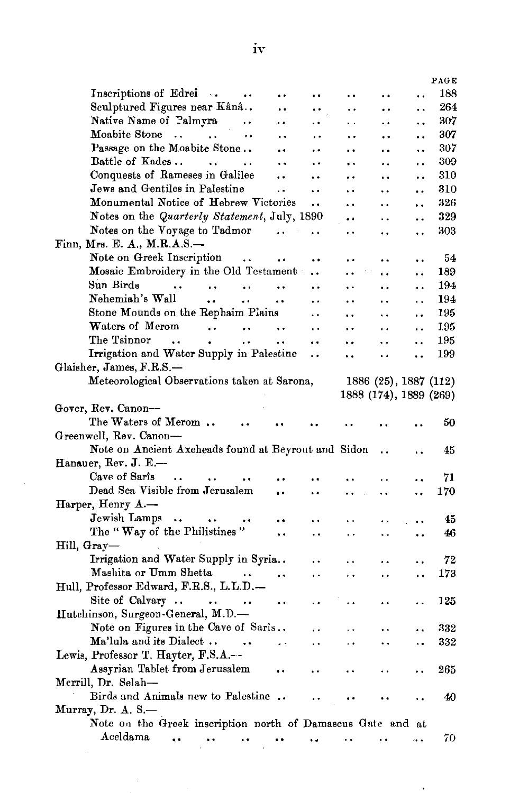|                                                                             |                        |                        |                      |                      |                        |                       |                      | PAGE |
|-----------------------------------------------------------------------------|------------------------|------------------------|----------------------|----------------------|------------------------|-----------------------|----------------------|------|
| Inscriptions of Edrei.                                                      |                        | $\ddot{\phantom{0}}$   |                      |                      | $\ddot{\phantom{0}}$   | $\ddot{\phantom{0}}$  |                      | 188  |
| Sculptured Figures near Kânâ                                                |                        |                        |                      |                      | .,                     |                       | . .                  | 264  |
| Native Name of Palmyra                                                      |                        | $\ddot{\phantom{0}}$   | $\ddot{\phantom{0}}$ | $\ddot{\phantom{0}}$ | Ω.                     | . .                   |                      | 307  |
| Moabite Stone<br><b>Contract Contract</b>                                   |                        | $\ddot{\phantom{0}}$   |                      | $\ddot{\phantom{1}}$ | $\ddot{\phantom{0}}$   |                       | . .                  | 307  |
| Passage on the Moabite Stone                                                |                        |                        | $\ddot{\phantom{0}}$ | $\ddot{\phantom{0}}$ | $\ddot{\phantom{1}}$   |                       | ٠.                   | 307  |
| Battle of Kades                                                             | $\sim$                 | $\ddot{\phantom{a}}$   | $\ddot{\phantom{a}}$ | $\ddot{\phantom{0}}$ | . .                    |                       | . .                  | 309  |
| Conquests of Rameses in Galilee                                             |                        |                        | $\ddot{\phantom{0}}$ | $\ddot{\phantom{0}}$ | . .                    | . .                   |                      | 310  |
| Jews and Gentiles in Palestine                                              |                        |                        | $\ddot{\phantom{1}}$ | $\ddot{\phantom{0}}$ | . .                    | . .                   | . .                  | 310  |
| Monumental Notice of Hebrew Victories                                       |                        |                        |                      | $\ddot{\phantom{0}}$ | $\ddot{\phantom{0}}$   | ٠.                    |                      | 326  |
| Notes on the Quarterly Statement, July, 1890                                |                        |                        |                      |                      | $\ddot{\phantom{a}}$   | . .                   | . .                  | 329  |
| Notes on the Voyage to Tadmor                                               |                        |                        |                      | $\ddot{\phantom{0}}$ | $\ddot{\phantom{0}}$   | . .                   | ٠.                   | 303  |
| Finn, Mrs. E. A., M.R.A.S.-                                                 |                        |                        |                      |                      |                        |                       |                      |      |
| Note on Greek Inscription                                                   |                        | $\sim$                 | $\ddot{\phantom{0}}$ | ٠.                   | . .                    | . .                   | $\ddot{\phantom{0}}$ | 54   |
| Mosaic Embroidery in the Old Testament                                      |                        |                        |                      | $\ddot{\phantom{0}}$ | $\ddot{\phantom{a}}$   | $\ddot{\phantom{a}}$  | $\ddot{\phantom{1}}$ | 189  |
| Sun Birds<br>$\ddot{\phantom{0}}$                                           | $\ddot{\phantom{1}}$ . | $\ddot{\phantom{1}}$ . | $\ddot{\phantom{1}}$ | $\ddot{\phantom{0}}$ | $\ddot{\phantom{1}}$   | . .                   | ٠.                   | 194  |
| Nehemiah's Wall                                                             | $\ddot{\phantom{a}}$   | $\ddot{\phantom{1}}$   | $\ddot{\phantom{a}}$ | $\ddot{\phantom{a}}$ | $\ddot{\phantom{0}}$   |                       | $\ddot{\phantom{a}}$ | 194  |
| Stone Mounds on the Rephaim Plains                                          |                        |                        |                      | $\ddot{\phantom{0}}$ | . .                    | $\ddot{\phantom{0}}$  | . .                  | 195  |
| Waters of Merom                                                             | $\ddot{\phantom{a}}$   | $\ddot{\phantom{a}}$   | $\ddot{\phantom{0}}$ | $\ddot{\phantom{0}}$ | . .                    | $\ddot{\phantom{0}}$  | . .                  | 195  |
| The Tsinnor<br>$\ddot{\phantom{a}}$                                         | $\bullet$              | $\ddot{\phantom{a}}$   | $\ddot{\phantom{0}}$ | $\ddot{\phantom{0}}$ |                        | . .                   | . .                  | 195  |
| Irrigation and Water Supply in Palestine                                    |                        |                        |                      | $\ddot{\phantom{0}}$ | ٠.                     | $\ddot{\phantom{0}}$  |                      | 199  |
| Glaisher, James, F.R.S.-                                                    |                        |                        |                      |                      |                        |                       |                      |      |
| Meteorological Observations taken at Sarona,                                |                        |                        |                      |                      |                        | 1886 (25), 1887 (112) |                      |      |
|                                                                             |                        |                        |                      |                      | 1888 (174), 1889 (269) |                       |                      |      |
|                                                                             |                        |                        |                      |                      |                        |                       |                      |      |
|                                                                             |                        |                        |                      |                      |                        |                       |                      |      |
| Gover, Rev. Canon-                                                          |                        |                        |                      |                      |                        |                       |                      |      |
| The Waters of Merom                                                         |                        |                        |                      |                      |                        |                       |                      | 50   |
| Greenwell, Rev. Canon-                                                      |                        |                        |                      |                      |                        |                       |                      |      |
| Note on Ancient Axeheads found at Beyrout and Sidon                         |                        |                        |                      |                      |                        |                       |                      | 45   |
| Hanauer, Rev. J. E.-                                                        | $\ddot{\phantom{a}}$   |                        |                      |                      |                        |                       |                      |      |
| Cave of Saris<br>$\ddot{\phantom{0}}$                                       |                        |                        |                      |                      |                        |                       |                      | 71   |
| Dead Sea Visible from Jerusalem                                             |                        |                        |                      |                      | . .                    | . .                   |                      | 170  |
| Harper, Henry A.-                                                           |                        |                        |                      |                      |                        |                       |                      |      |
| Jewish Lamps<br>$\rightarrow$                                               |                        |                        |                      |                      | Ω.                     |                       |                      | 45   |
| The "Way of the Philistines"                                                |                        |                        |                      |                      | μ.                     | . .                   | . .                  | 46   |
| Hill, Gray—                                                                 |                        |                        |                      |                      |                        |                       |                      |      |
| Irrigation and Water Supply in Syria                                        |                        |                        |                      |                      | $\ddot{\phantom{0}}$   |                       |                      | 72   |
| Mashita or Umm Shetta                                                       |                        |                        | $\ddot{\phantom{1}}$ | . .                  | έ,                     |                       | . .                  | 173  |
| Hull, Professor Edward, F.R.S., L.L.D.—                                     |                        |                        |                      |                      |                        |                       |                      |      |
| Site of Calvary $\dots$ $\dots$                                             |                        | $\ddot{\phantom{1}}$   | $\ddot{\phantom{0}}$ |                      |                        |                       |                      | 125  |
| Hutchinson, Surgeon-General, M.D.—                                          |                        |                        |                      |                      |                        |                       |                      |      |
| Note on Figures in the Cave of Saris                                        |                        |                        |                      |                      | $\ddot{\phantom{0}}$   |                       |                      | 332  |
| Ma'lula and its Dialect                                                     |                        | $\sim$ 100 $\pm$       | $\ddot{\phantom{a}}$ | $\ddot{\phantom{0}}$ | ò,                     |                       |                      | 332  |
| Lewis, Professor T. Hayter, F.S.A.--                                        |                        |                        |                      |                      |                        |                       |                      |      |
| Assyrian Tablet from Jerusalem                                              |                        |                        |                      | $\ddot{\phantom{0}}$ |                        |                       |                      | 265  |
| Merrill, Dr. Selah-                                                         |                        |                        |                      |                      |                        |                       |                      |      |
| Birds and Animals new to Palestine                                          |                        |                        |                      |                      |                        |                       |                      | 40   |
| Murray, Dr. A. S.-                                                          |                        |                        |                      |                      |                        |                       |                      |      |
| Note on the Greek inscription north of Damascus Gate and at<br>Aceldama<br> | $\ddot{\phantom{0}}$   |                        | $\ddot{\phantom{a}}$ | . .                  | . .                    |                       | 44                   | 70   |

 $\bar{z}$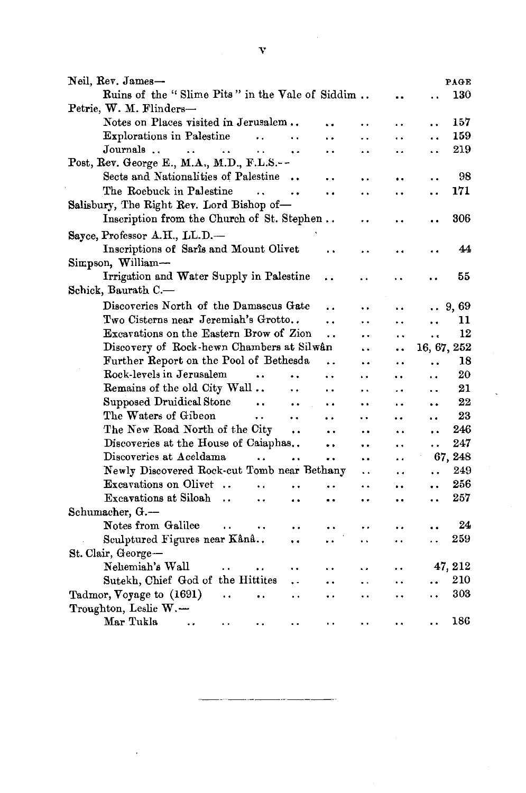| Neil, Rev. James-                                                                                                            |                      | PAGE                         |
|------------------------------------------------------------------------------------------------------------------------------|----------------------|------------------------------|
| Ruins of the "Slime Pits" in the Vale of Siddim                                                                              |                      | 130<br>$\ddot{\phantom{0}}$  |
| Petrie, W. M. Flinders-                                                                                                      |                      |                              |
| Notes on Places visited in Jerusalem                                                                                         | . .                  | 157<br>. .                   |
| Explorations in Palestine<br>$\ddotsc$<br>$\ddot{\phantom{a}}$                                                               | . .                  | 159<br>$\ddot{\phantom{0}}$  |
| Journals<br>$\ddot{\phantom{a}}$<br>$\ddot{\phantom{a}}$<br>$\ddot{\phantom{a}}$<br><br>. .                                  | . .                  | 219<br>$\ddot{\phantom{a}}$  |
| Post, Rev. George E., M.A., M.D., F.L.S.--                                                                                   |                      |                              |
| Sects and Nationalities of Palestine<br>$\ddot{\phantom{a}}$                                                                 |                      | 98                           |
| The Roebuck in Palestine<br>$\ddot{\phantom{0}}$<br>. .<br>. .                                                               |                      | 171<br>. .                   |
| Salisbury, The Right Rev. Lord Bishop of-                                                                                    |                      |                              |
| Inscription from the Church of St. Stephen                                                                                   |                      | 306                          |
| Sayce, Professor A.H., LL.D.-                                                                                                |                      |                              |
| Inscriptions of Saris and Mount Olivet                                                                                       |                      | 44                           |
| Simpson, William-                                                                                                            |                      |                              |
| Irrigation and Water Supply in Palestine                                                                                     |                      | 55                           |
| Schick, Baurath C.-                                                                                                          |                      |                              |
| Discoveries North of the Damascus Gate                                                                                       |                      | 9,69<br>$\ddot{\phantom{a}}$ |
| Two Cisterns near Jeremiah's Grotto<br>. .                                                                                   | . .                  | 11<br>. .                    |
| Excavations on the Eastern Brow of Zion<br>$\ddot{\phantom{0}}$                                                              | $\ddot{\phantom{0}}$ | 12<br>$\ddot{\phantom{0}}$   |
| Discovery of Rock-hewn Chambers at Silwan<br>L.                                                                              |                      | 16, 67, 252                  |
| Further Report on the Pool of Bethesda<br>. .<br>ż.                                                                          | $\ddot{\phantom{a}}$ | 18<br>. .                    |
| Rock-levels in Jerusalem<br>$\ddot{\phantom{a}}$<br>. .<br>$\ddot{\phantom{1}}$                                              | ٠.                   | 20                           |
| Remains of the old City Wall<br>$\ddot{\phantom{0}}$<br>٠.<br>$\ddot{\phantom{a}}$                                           | . .                  | 21<br>. .                    |
| Supposed Druidical Stone<br>$\sim$ 4 $\pm$<br>$\ddot{\phantom{0}}$<br>$\ddot{\phantom{0}}$                                   |                      | 22<br>$\ddot{\phantom{0}}$   |
| The Waters of Gibeon<br>$\ddot{\phantom{0}}$<br>$\ddot{\phantom{0}}$<br>. .<br>. .                                           |                      | 23<br>                       |
| The New Road North of the City<br>$\ddot{\phantom{0}}$<br><br>. .                                                            | $\ddot{\phantom{0}}$ | 246<br>$\ddot{\phantom{0}}$  |
| Discoveries at the House of Caiaphas<br>                                                                                     | . .                  | 247<br>$\ddot{\phantom{0}}$  |
| Discoveries at Aceldama<br>$\ddot{\phantom{a}}$<br>$\ddot{\phantom{0}}$<br>$\ddot{\phantom{0}}$<br>. .                       | . .                  | 67, 248                      |
| Newly Discovered Rock-cut Tomb near Bethany<br>$\ddot{\phantom{a}}$                                                          | . .                  | 249<br>$\ddot{\phantom{a}}$  |
| Excavations on Olivet<br>. .<br>. .<br>$\ddot{\phantom{a}}$                                                                  | $\ddot{\phantom{0}}$ | 256<br>                      |
| Excavations at Siloah<br>$\ddot{\phantom{0}}$<br>. .<br>$\ddot{\phantom{a}}$<br>$\ddot{\phantom{a}}$<br>$\ddot{\phantom{0}}$ | $\ddot{\phantom{0}}$ | 257<br>                      |
| Schumacher, G.-                                                                                                              |                      |                              |
| Notes from Galilee<br>$\ddot{\phantom{a}}$<br>$\ddot{\phantom{a}}$<br>. .                                                    |                      | 24                           |
| Sculptured Figures near Kânâ<br>$\ddot{\phantom{0}}$                                                                         | . .                  | 259                          |
| St. Clair, George-                                                                                                           |                      |                              |
| Nehemiah's Wall<br>٠.<br>$\ddot{\phantom{0}}$<br>٠.<br>٠.                                                                    | . .                  | 47, 212                      |
| Sutekh, Chief God of the Hittites<br>. .<br>. .<br>μ.                                                                        | . .                  | 210<br>                      |
| Tadmor, Voyage to (1691)<br>$\ddot{\phantom{a}}$<br>. .<br>. .                                                               | $\ddot{\phantom{0}}$ | 303                          |
| Troughton, Leslie W.-                                                                                                        |                      |                              |
| Mar Tukla<br>$\ddot{\phantom{0}}$<br>$\ddot{\phantom{0}}$                                                                    | . .                  | 186                          |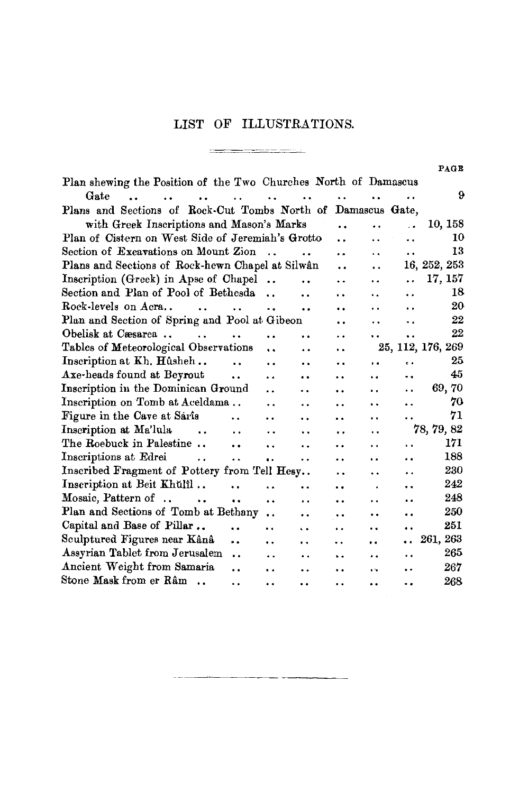## LIST OF ILLUSTRATIONS.

~---~---

\_\_\_\_\_\_\_\_

 $\sim$   $\sim$   $\sim$ 

PAGE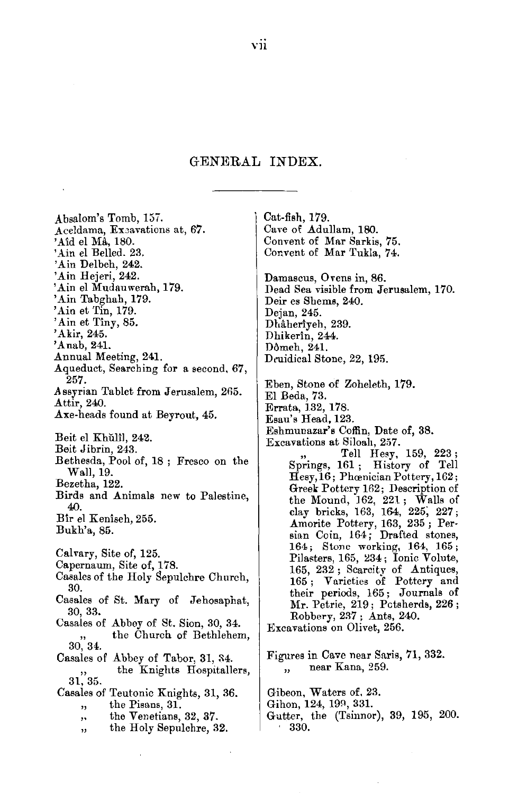## GENERAL INDEX.

Absalom's Tomb, 157. Aceldama, Exeavations at, 67. 'Aîd el Må, 180. 'Ain el Belled. 23. 'Ain Delbeh, 242. 'Ain Hejeri, 242. 'Ain el Mudauwerah, 179. 'Ain Tabghah, 179. 'Ain et Tin, 179. 'Ain et Tîny, 85. 'Akir, 245. 'Anab, 241. Annual Meeting, 241. Aqueduct, Searching for a second, 67, 257. Assyrian Tablet from Jerusalem, 265. Attir, 240. Axe-heads found at Beyrout, 45. Beit el Khŭlîl, 242. Beit Jibrin, 243. Bethesda, Pool of, 18; Fresco on the Wall, 19. Bezetha, 122. Birds and Animals new to Palestine, 40. Bir el Kenisch, 255. Bukh'a, 85. Calvary, Site of, 125. Capernaum, Site of, 178. Casales of the Holy Sepulchre Church, 30. Casales of St. Mary of Jehosaphat, 30, 33. Casales of Abbey of St. Sion, 30, 34. the Church of Bethlehem,  $30^{''}$ ,  $34^{''}$ Casales of Abbey of Tabor, 31, 34. the Knights Hospitallers,  $31,35.$ Casales of Teutonic Knights, 31, 36. the Pisans, 31.  $\ddot{\phantom{1}}$ the Venetians, 32, 37.  $,$ the Holy Sepulchre, 32. ,,

Cat-fish, 179. Cave of Adullam, 180. Convent of Mar Sarkis, 75. Convent of Mar Tukla, 74. Damascus, Ovens in, 86. Dead Sea visible from Jerusalem, 170. Deir es Shems, 240. Dejan, 245. Dhâherîyeh, 239. Dhikerîn, 244. Dômeh, 241. Druidical Stone, 22, 195. Eben, Stone of Zoheleth, 179. El Beda, 73. Errata, 132, 178. Esau's Head, 123. Eshmunazar's Coffin, Date of, 38. Excavations at Siloah, 257. Tell Hesy, 159, 223; Springs, 161; History of Tell Hesy, 16; Phœnician Pottery, 162; Greek Pottery 162; Description of the Mound, 162, 221; Walls of clay bricks, 163, 164, 225, 227; Amorite Pottery, 163, 235; Persian Coin, 164; Drafted stones, 164; Stone working, 164, 165; Pilasters, 165, 234; Ionic Volute, 165, 232; Scarcity of Antiques, 165; Varieties of Pottery and their periods, 165; Journals of Mr. Petrie, 219; Potsherds, 226; Robbery, 237; Ants, 240. Excavations on Olivet, 256.

Figures in Cave near Saris, 71, 332. near Kana, 259.  $\ddot{\phantom{0}}$ 

Gibeon, Waters of, 23. Gihon, 124, 199, 331.

Gutter, the (Tsinnor), 39, 195, 200. 330.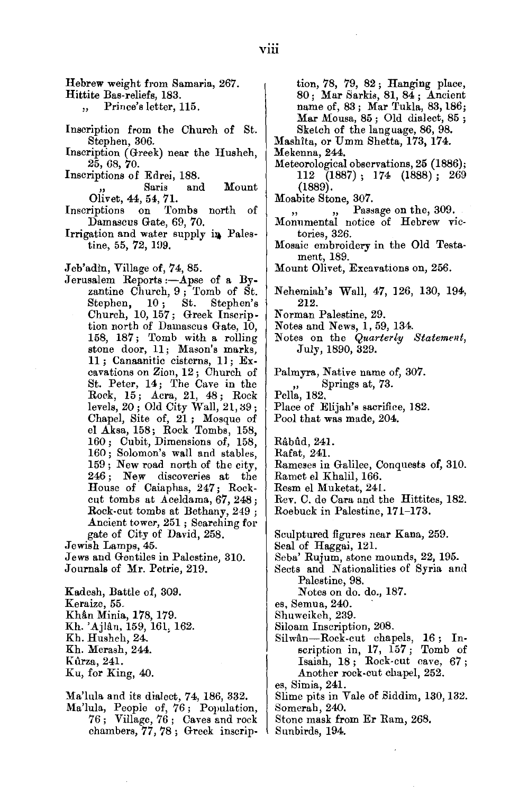Hebrew weight from Samaria, 267.

Hittite Bas-reliefs, 183.

Prince's letter, 115.  $\ddot{\phantom{a}}$ 

- Inscription from the Church of St. Stephen, 306.
- Inscription (Greek) near the Husheh, 25, 08, 70. Inscriptions of Edrei, 188.
- Inscriptions of Edrei, 188.<br>Saris and Mount

Olivet, 44, 54, 71.

- Inscriptions on Tombs north of Damascus Gate, 69, 70.
- Irrigation and water supply in Palestine, 55, 72, 199.

Jeb'adin, Village of, 74, 85.

Jerusalem Reports :- Apse of a By- $\begin{bmatrix} \text{inem} & \text{reports} & \text{in} \\ \text{inem} & \text{Church}, 9 \\ \text{inem} & \text{St.} \\ \text{inem} & \text{St.} \end{bmatrix}$ Stephen, 10; St. Stephen's<br>Church, 10, 157; Greek Inscription north of Damascus Gate, 10, 58, 187; Tomb with a rolling<br>
one door, 11; Mason's marks,<br>
1. Canaanitic cisterns, 11; <sup>Ex-</sup> 11; Canaanitic cisterns, 11; Ex-<br>cavations on Zion, 12; Church of St. Peter, 14; The Cave in the  $R_{\text{lock}}$ , 15; Acra, 21, 48; Rock<br>  $R_{\text{level}}$ , 20; Old City Wall, 21, 39;<br>  $R_{\text{level}}$ , Site of 1 ; Mosque of Chapel, Site of, 21; Mosque of el Aksa, 158; Rock Tombs, 158, 160 ; Cubit, Dimensions of, 158, 160; Solomon's wall and stables, 159; New road north of the city, 246; New discoveries at the Formation California and the cut-<br>Couse of Caiaphas, 247; Rockcut tombs at Aceldama, 67, 248;<br>Rock-cut tombs at Bethany, 249; Ancient tower, 251 ; Searching for gate of City of David, 258.

Jewish Lamps, 45. Jews and Gentiles in Palestine, 310. Journals of Mr. Petrie, 219.

Kadesh, Battle of, 309. Keraize, 55. Khân Minia, 178, 179. Kh. 'Ajlan, 159, 161, 162. Kh. Husheh, 24. Kh. Merash, 244. Kilrza, 241. Ku, for King, 40.

Ma'lula and its dialect, 74, 186, 332.

Ma'lula, Peopie of, 76; Population,  $\frac{5}{6}$ ; Village, 76; Caves and rock<br>combers, 77, 79; Greek inscription, 78, 79, 82; Hanging place, 80; Mar Sarkis, 81, 84 ; Ancient name of, 83; Mar Tukla, 83, 186; Mar Mousa, 85; Old dialect, 85; Sketch of the language, 86, 98.

Mashita, or Umm Shetta, 173, 174.

- Mekenna, 244.
- Meteorological observations, 25 (1886); 112 (1887) ; 174 (1888) ; 269 (1889).
- Moabite Stone, 307.
	- Passage on the, 309.
- Monumental notice of Hebrew victories, 326.
- Mosaic embroidery in the Old Testament, 189.
- Mount Olivet, Excavations on, 256.

 $\lambda$  (abeniah's Wall,  $47, 196, 130, 194$ ) 212. Norman Palestine, 29.

- 
- Notes and News, 1, 59, 134.

Notes on the *Quarterly Statement,*  July, 1890, 329.

Palmyra, Native name of, 307. yra, rative name 01,<br>Springs at, 79. ,, Springs at, 73.<br>Pella, 182. Place of Elijah's sacrifice, 182.

Pool that was made, 204.

Rabild, 241.

- Rafat, 241.
- Rameses in Galilee, Conquests of, 310.
- Ramet el Khalil, 166.
- Resm el Muketat, 241.

Rev. C. de Cara and the Hittites, 182. Roebuck in Palestine, 171-173.

Sculptured figures near Kana, 259. Seal of Haggai, 121.

- Seba' Rujum, stone mounds, 22, 195.
- Sects and Nationalities of Syria and Palestine, 98.

Notes on do. do., 187.

es, Semua, 240.

- Shuweikeh, 239.
- Siloam Inscription, 208.
- Silwan-Rock-cut chapels, 16; In-1—Rock-cut chapels, 10; In-<br>
iription in, 17, 157; Tomb of<br>
saiah, 18; Rock-cut cave, 67;<br>
and 252. Another rock-cut chapel, 252.<br>es, Simia, 241.
- 
- Slime pits in Vale of Biddim, 130, 132. Somerah, 240.

Stone mask from Er Ram, 268.

Sunbirds, 194.